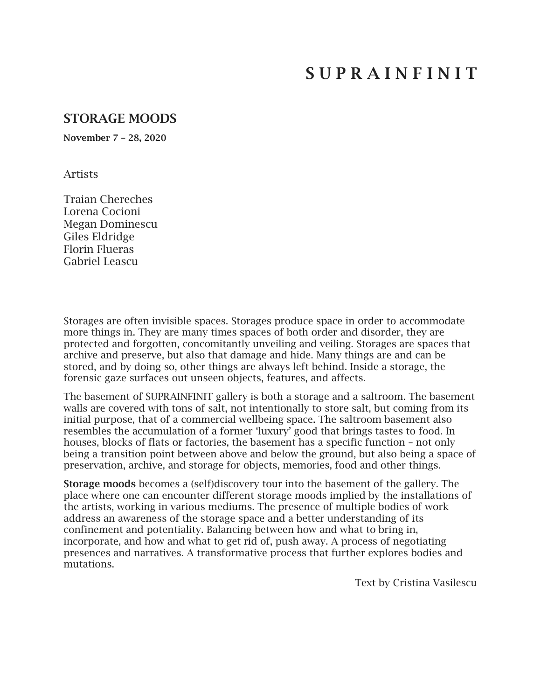# S U P R A I N F I N I T

## STORAGE MOODS

November 7 – 28, 2020

Artists

Traian Chereches Lorena Cocioni Megan Dominescu Giles Eldridge Florin Flueras Gabriel Leascu

Storages are often invisible spaces. Storages produce space in order to accommodate more things in. They are many times spaces of both order and disorder, they are protected and forgotten, concomitantly unveiling and veiling. Storages are spaces that archive and preserve, but also that damage and hide. Many things are and can be stored, and by doing so, other things are always left behind. Inside a storage, the forensic gaze surfaces out unseen objects, features, and affects.

The basement of SUPRAINFINIT gallery is both a storage and a saltroom. The basement walls are covered with tons of salt, not intentionally to store salt, but coming from its initial purpose, that of a commercial wellbeing space. The saltroom basement also resembles the accumulation of a former 'luxury' good that brings tastes to food. In houses, blocks of flats or factories, the basement has a specific function – not only being a transition point between above and below the ground, but also being a space of preservation, archive, and storage for objects, memories, food and other things.

Storage moods becomes a (self)discovery tour into the basement of the gallery. The place where one can encounter different storage moods implied by the installations of the artists, working in various mediums. The presence of multiple bodies of work address an awareness of the storage space and a better understanding of its confinement and potentiality. Balancing between how and what to bring in, incorporate, and how and what to get rid of, push away. A process of negotiating presences and narratives. A transformative process that further explores bodies and mutations.

Text by Cristina Vasilescu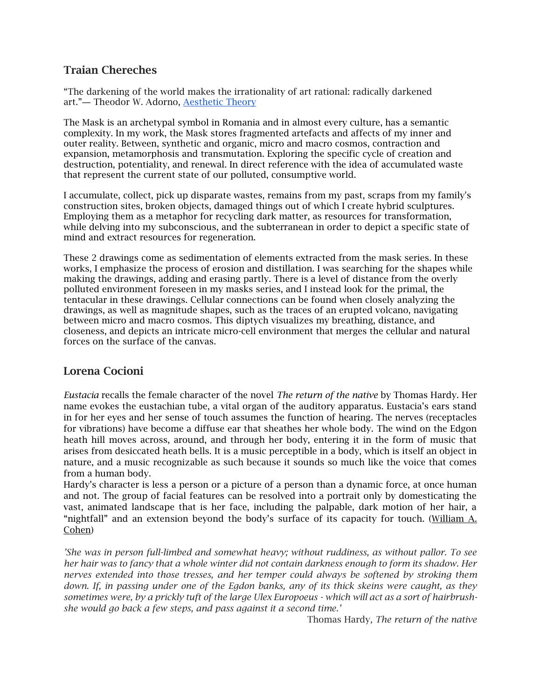## Traian Chereches

"The darkening of the world makes the irrationality of art rational: radically darkened art."― Theodor W. Adorno, [Aesthetic Theory](https://www.goodreads.com/work/quotes/82818)

The Mask is an archetypal symbol in Romania and in almost every culture, has a semantic complexity. In my work, the Mask stores fragmented artefacts and affects of my inner and outer reality. Between, synthetic and organic, micro and macro cosmos, contraction and expansion, metamorphosis and transmutation. Exploring the specific cycle of creation and destruction, potentiality, and renewal. In direct reference with the idea of accumulated waste that represent the current state of our polluted, consumptive world.

I accumulate, collect, pick up disparate wastes, remains from my past, scraps from my family's construction sites, broken objects, damaged things out of which I create hybrid sculptures. Employing them as a metaphor for recycling dark matter, as resources for transformation, while delving into my subconscious, and the subterranean in order to depict a specific state of mind and extract resources for regeneration.

These 2 drawings come as sedimentation of elements extracted from the mask series. In these works, I emphasize the process of erosion and distillation. I was searching for the shapes while making the drawings, adding and erasing partly. There is a level of distance from the overly polluted environment foreseen in my masks series, and I instead look for the primal, the tentacular in these drawings. Cellular connections can be found when closely analyzing the drawings, as well as magnitude shapes, such as the traces of an erupted volcano, navigating between micro and macro cosmos. This diptych visualizes my breathing, distance, and closeness, and depicts an intricate micro-cell environment that merges the cellular and natural forces on the surface of the canvas.

#### Lorena Cocioni

*Eustacia* recalls the female character of the novel *The return of the native* by Thomas Hardy. Her name evokes the eustachian tube, a vital organ of the auditory apparatus. Eustacia's ears stand in for her eyes and her sense of touch assumes the function of hearing. The nerves (receptacles for vibrations) have become a diffuse ear that sheathes her whole body. The wind on the Edgon heath hill moves across, around, and through her body, entering it in the form of music that arises from desiccated heath bells. It is a music perceptible in a body, which is itself an object in nature, and a music recognizable as such because it sounds so much like the voice that comes from a human body.

Hardy's character is less a person or a picture of a person than a dynamic force, at once human and not. The group of facial features can be resolved into a portrait only by domesticating the vast, animated landscape that is her face, including the palpable, dark motion of her hair, a "nightfall" and an extension beyond the body's surface of its capacity for touch. ([William A.](https://www.google.ro/search?tbo=p&tbm=bks&q=inauthor:%22William+A.+Cohen%22)  [Cohen\)](https://www.google.ro/search?tbo=p&tbm=bks&q=inauthor:%22William+A.+Cohen%22)

*'She was in person full-limbed and somewhat heavy; without ruddiness, as without pallor. To see her hair was to fancy that a whole winter did not contain darkness enough to form its shadow. Her nerves extended into those tresses, and her temper could always be softened by stroking them down. If, in passing under one of the Egdon banks, any of its thick skeins were caught, as they sometimes were, by a prickly tuft of the large Ulex Europoeus - which will act as a sort of hairbrushshe would go back a few steps, and pass against it a second time.'* 

Thomas Hardy*, The return of the native*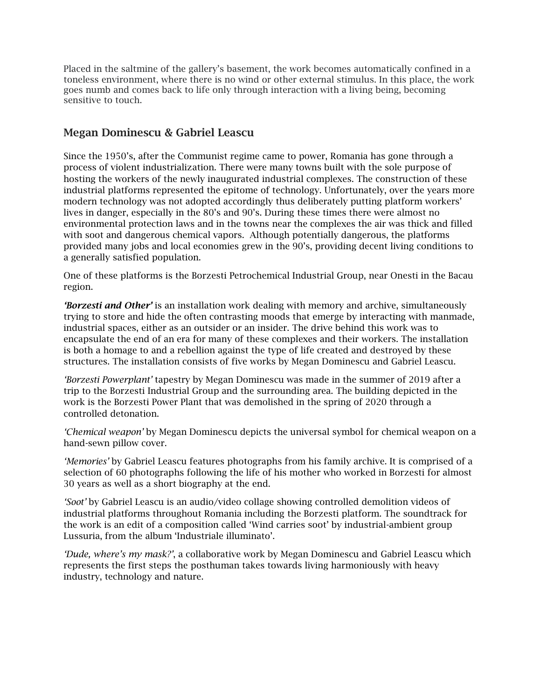Placed in the saltmine of the gallery's basement, the work becomes automatically confined in a toneless environment, where there is no wind or other external stimulus. In this place, the work goes numb and comes back to life only through interaction with a living being, becoming sensitive to touch.

## Megan Dominescu & Gabriel Leascu

Since the 1950's, after the Communist regime came to power, Romania has gone through a process of violent industrialization. There were many towns built with the sole purpose of hosting the workers of the newly inaugurated industrial complexes. The construction of these industrial platforms represented the epitome of technology. Unfortunately, over the years more modern technology was not adopted accordingly thus deliberately putting platform workers' lives in danger, especially in the 80's and 90's. During these times there were almost no environmental protection laws and in the towns near the complexes the air was thick and filled with soot and dangerous chemical vapors. Although potentially dangerous, the platforms provided many jobs and local economies grew in the 90's, providing decent living conditions to a generally satisfied population.

One of these platforms is the Borzesti Petrochemical Industrial Group, near Onesti in the Bacau region.

*'Borzesti and Other'* is an installation work dealing with memory and archive, simultaneously trying to store and hide the often contrasting moods that emerge by interacting with manmade, industrial spaces, either as an outsider or an insider. The drive behind this work was to encapsulate the end of an era for many of these complexes and their workers. The installation is both a homage to and a rebellion against the type of life created and destroyed by these structures. The installation consists of five works by Megan Dominescu and Gabriel Leascu.

*'Borzesti Powerplant'* tapestry by Megan Dominescu was made in the summer of 2019 after a trip to the Borzesti Industrial Group and the surrounding area. The building depicted in the work is the Borzesti Power Plant that was demolished in the spring of 2020 through a controlled detonation.

*'Chemical weapon'* by Megan Dominescu depicts the universal symbol for chemical weapon on a hand-sewn pillow cover.

*'Memories'* by Gabriel Leascu features photographs from his family archive. It is comprised of a selection of 60 photographs following the life of his mother who worked in Borzesti for almost 30 years as well as a short biography at the end.

*'Soot'* by Gabriel Leascu is an audio/video collage showing controlled demolition videos of industrial platforms throughout Romania including the Borzesti platform. The soundtrack for the work is an edit of a composition called 'Wind carries soot' by industrial-ambient group Lussuria, from the album 'Industriale illuminato'.

*'Dude, where's my mask?'*, a collaborative work by Megan Dominescu and Gabriel Leascu which represents the first steps the posthuman takes towards living harmoniously with heavy industry, technology and nature.